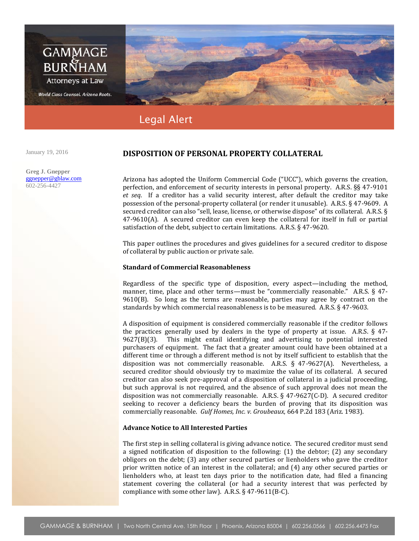

January 19, 2016

**Greg J. Gnepper** ggnepper@gblaw.com 602-256-4427

# **DISPOSITION OF PERSONAL PROPERTY COLLATERAL**

Arizona has adopted the Uniform Commercial Code ("UCC"), which governs the creation, perfection, and enforcement of security interests in personal property. A.R.S. §§ 47-9101 *et seq*. If a creditor has a valid security interest, after default the creditor may take possession of the personal-property collateral (or render it unusable). A.R.S. § 47-9609. A secured creditor can also "sell, lease, license, or otherwise dispose" of its collateral. A.R.S. § 47-9610(A). A secured creditor can even keep the collateral for itself in full or partial satisfaction of the debt, subject to certain limitations. A.R.S. § 47-9620.

This paper outlines the procedures and gives guidelines for a secured creditor to dispose of collateral by public auction or private sale.

### **Standard of Commercial Reasonableness**

Regardless of the specific type of disposition, every aspect—including the method, manner, time, place and other terms—must be "commercially reasonable." A.R.S. § 47- $9610(B)$ . So long as the terms are reasonable, parties may agree by contract on the standards by which commercial reasonableness is to be measured. A.R.S. § 47-9603.

A disposition of equipment is considered commercially reasonable if the creditor follows the practices generally used by dealers in the type of property at issue. A.R.S.  $\S$  47-9627(B)(3). This might entail identifying and advertising to potential interested purchasers of equipment. The fact that a greater amount could have been obtained at a different time or through a different method is not by itself sufficient to establish that the disposition was not commercially reasonable. A.R.S. § 47-9627(A). Nevertheless, a secured creditor should obviously try to maximize the value of its collateral. A secured creditor can also seek pre-approval of a disposition of collateral in a judicial proceeding, but such approval is not required, and the absence of such approval does not mean the disposition was not commercially reasonable. A.R.S. § 47-9627(C-D). A secured creditor seeking to recover a deficiency bears the burden of proving that its disposition was commercially reasonable. *Gulf Homes, Inc. v. Groubeaux*, 664 P.2d 183 (Ariz. 1983).

## **Advance Notice to All Interested Parties**

The first step in selling collateral is giving advance notice. The secured creditor must send a signed notification of disposition to the following: (1) the debtor; (2) any secondary obligors on the debt; (3) any other secured parties or lienholders who gave the creditor prior written notice of an interest in the collateral; and (4) any other secured parties or lienholders who, at least ten days prior to the notification date, had filed a financing statement covering the collateral (or had a security interest that was perfected by compliance with some other law). A.R.S. § 47-9611(B-C).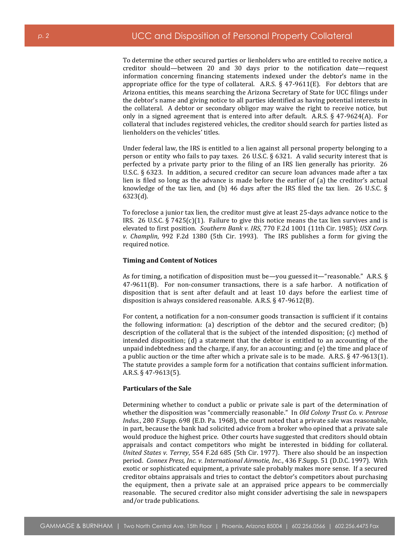To determine the other secured parties or lienholders who are entitled to receive notice, a creditor should—between 20 and 30 days prior to the notification date—request information concerning financing statements indexed under the debtor's name in the appropriate office for the type of collateral. A.R.S.  $\S$  47-9611(E). For debtors that are Arizona entities, this means searching the Arizona Secretary of State for UCC filings under the debtor's name and giving notice to all parties identified as having potential interests in the collateral. A debtor or secondary obligor may waive the right to receive notice, but only in a signed agreement that is entered into after default. A.R.S. § 47-9624(A). For collateral that includes registered vehicles, the creditor should search for parties listed as lienholders on the vehicles' titles.

Under federal law, the IRS is entitled to a lien against all personal property belonging to a person or entity who fails to pay taxes. 26 U.S.C. § 6321. A valid security interest that is perfected by a private party prior to the filing of an IRS lien generally has priority. 26 U.S.C. § 6323. In addition, a secured creditor can secure loan advances made after a tax lien is filed so long as the advance is made before the earlier of (a) the creditor's actual knowledge of the tax lien, and (b) 46 days after the IRS filed the tax lien. 26 U.S.C.  $\S$ 6323(d).

To foreclose a junior tax lien, the creditor must give at least 25-days advance notice to the IRS. 26 U.S.C. § 7425 $(c)(1)$ . Failure to give this notice means the tax lien survives and is elevated to first position. *Southern Bank v. IRS*, 770 F.2d 1001 (11th Cir. 1985); *USX Corp. v. Champlin*, 992 F.2d 1380 (5th Cir. 1993). The IRS publishes a form for giving the required notice.

### **Timing and Content of Notices**

As for timing, a notification of disposition must be—you guessed it—"reasonable." A.R.S. § 47-9611(B). For non-consumer transactions, there is a safe harbor. A notification of disposition that is sent after default and at least 10 days before the earliest time of disposition is always considered reasonable. A.R.S. § 47-9612(B).

For content, a notification for a non-consumer goods transaction is sufficient if it contains the following information: (a) description of the debtor and the secured creditor; (b) description of the collateral that is the subject of the intended disposition; (c) method of intended disposition; (d) a statement that the debtor is entitled to an accounting of the unpaid indebtedness and the charge, if any, for an accounting; and (e) the time and place of a public auction or the time after which a private sale is to be made. A.R.S. § 47-9613(1). The statute provides a sample form for a notification that contains sufficient information. A.R.S. § 47-9613(5).

#### **Particulars of the Sale**

Determining whether to conduct a public or private sale is part of the determination of whether the disposition was "commercially reasonable." In *Old Colony Trust Co. v. Penrose Indus.*, 280 F.Supp. 698 (E.D. Pa. 1968), the court noted that a private sale was reasonable, in part, because the bank had solicited advice from a broker who opined that a private sale would produce the highest price. Other courts have suggested that creditors should obtain appraisals and contact competitors who might be interested in bidding for collateral. *United States v. Terrey*, 554 F.2d 685 (5th Cir. 1977). There also should be an inspection period. *Connex Press, Inc. v. International Airmotie, Inc.*, 436 F.Supp. 51 (D.D.C. 1997). With exotic or sophisticated equipment, a private sale probably makes more sense. If a secured creditor obtains appraisals and tries to contact the debtor's competitors about purchasing the equipment, then a private sale at an appraised price appears to be commercially reasonable. The secured creditor also might consider advertising the sale in newspapers and/or trade publications.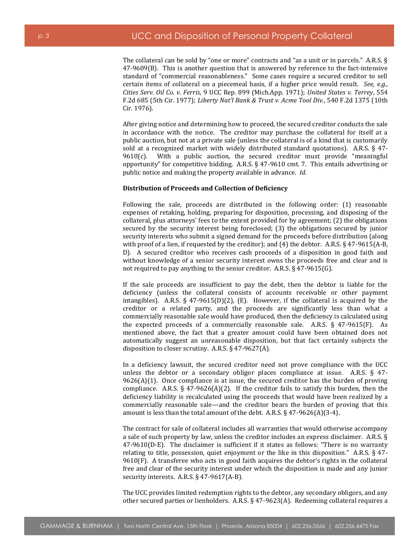The collateral can be sold by "one or more" contracts and "as a unit or in parcels." A.R.S. § 47-9609(B). This is another question that is answered by reference to the fact-intensive standard of "commercial reasonableness." Some cases require a secured creditor to sell certain items of collateral on a piecemeal basis, if a higher price would result. *See, e.g., Cities Serv. Oil Co. v. Ferris*, 9 UCC Rep. 899 (Mich.App. 1971); *United States v. Terrey*, 554 F.2d 685 (5th Cir. 1977); *Liberty Nat'l Bank & Trust v. Acme Tool Div.*, 540 F.2d 1375 (10th Cir. 1976).

After giving notice and determining how to proceed, the secured creditor conducts the sale in accordance with the notice. The creditor may purchase the collateral for itself at a public auction, but not at a private sale (unless the collateral is of a kind that is customarily sold at a recognized market with widely distributed standard quotations). A.R.S. § 47-  $9610(c)$ . With a public auction, the secured creditor must provide "meaningful opportunity" for competitive bidding. A.R.S. § 47-9610 cmt. 7. This entails advertising or public notice and making the property available in advance. *Id.*

### **Distribution of Proceeds and Collection of Deficiency**

Following the sale, proceeds are distributed in the following order: (1) reasonable expenses of retaking, holding, preparing for disposition, processing, and disposing of the collateral, plus attorneys' fees to the extent provided for by agreement; (2) the obligations secured by the security interest being foreclosed; (3) the obligations secured by junior security interests who submit a signed demand for the proceeds before distribution (along with proof of a lien, if requested by the creditor); and (4) the debtor. A.R.S. § 47-9615(A-B, D). A secured creditor who receives cash proceeds of a disposition in good faith and without knowledge of a senior security interest owns the proceeds free and clear and is not required to pay anything to the senior creditor. A.R.S. § 47-9615(G).

If the sale proceeds are insufficient to pay the debt, then the debtor is liable for the deficiency (unless the collateral consists of accounts receivable or other payment intangibles). A.R.S.  $\S$  47-9615(D)(2), (E). However, if the collateral is acquired by the creditor or a related party, and the proceeds are significantly less than what a commercially reasonable sale would have produced, then the deficiency is calculated using the expected proceeds of a commercially reasonable sale. A.R.S. § 47-9615(F). As mentioned above, the fact that a greater amount could have been obtained does not automatically suggest an unreasonable disposition, but that fact certainly subjects the disposition to closer scrutiny. A.R.S. § 47-9627(A).

In a deficiency lawsuit, the secured creditor need not prove compliance with the UCC unless the debtor or a secondary obligor places compliance at issue. A.R.S. § 47-  $9626(A)(1)$ . Once compliance is at issue, the secured creditor has the burden of proving compliance. A.R.S.  $\S$  47-9626(A)(2). If the creditor fails to satisfy this burden, then the deficiency liability is recalculated using the proceeds that would have been realized by a commercially reasonable sale—and the creditor bears the burden of proving that this amount is less than the total amount of the debt. A.R.S. § 47-9626(A)(3-4).

The contract for sale of collateral includes all warranties that would otherwise accompany a sale of such property by law, unless the creditor includes an express disclaimer. A.R.S. § 47-9610(D-E). The disclaimer is sufficient if it states as follows: "There is no warranty relating to title, possession, quiet enjoyment or the like in this disposition." A.R.S. § 47- 9610(F). A transferee who acts in good faith acquires the debtor's rights in the collateral free and clear of the security interest under which the disposition is made and any junior security interests. A.R.S. § 47-9617(A-B).

The UCC provides limited redemption rights to the debtor, any secondary obligors, and any other secured parties or lienholders. A.R.S. § 47-9623(A). Redeeming collateral requires a